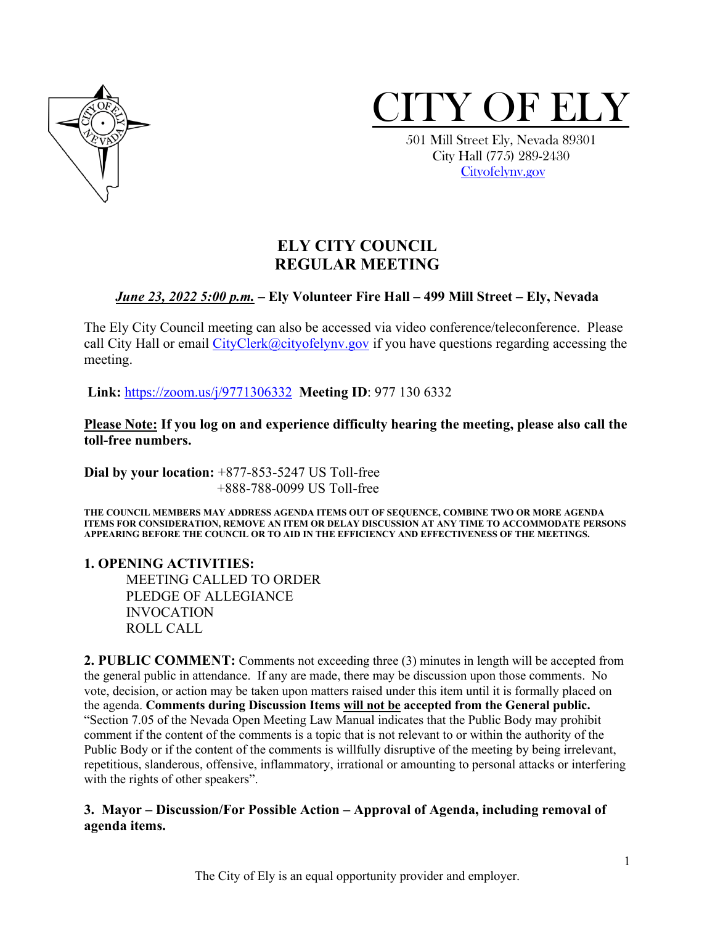



 City Hall (775) 289-2430 [Cityofelynv.gov](mailto:Cityofelynv.gov)

## **ELY CITY COUNCIL REGULAR MEETING**

#### *June 23, 2022 5:00 p.m.* **– Ely Volunteer Fire Hall – 499 Mill Street – Ely, Nevada**

The Ely City Council meeting can also be accessed via video conference/teleconference. Please call City Hall or email  $CityClerk@cityofelynv.gov$  if you have questions regarding accessing the meeting.

**Link:** [https://zoom.us/j/9771306332](https://zoom.us/j/9771306332?status=success) **Meeting ID**: 977 130 6332

**Please Note: If you log on and experience difficulty hearing the meeting, please also call the toll-free numbers.** 

**Dial by your location:** +877-853-5247 US Toll-free +888-788-0099 US Toll-free

**THE COUNCIL MEMBERS MAY ADDRESS AGENDA ITEMS OUT OF SEQUENCE, COMBINE TWO OR MORE AGENDA ITEMS FOR CONSIDERATION, REMOVE AN ITEM OR DELAY DISCUSSION AT ANY TIME TO ACCOMMODATE PERSONS APPEARING BEFORE THE COUNCIL OR TO AID IN THE EFFICIENCY AND EFFECTIVENESS OF THE MEETINGS.**

**1. OPENING ACTIVITIES:** 

MEETING CALLED TO ORDER PLEDGE OF ALLEGIANCE INVOCATION ROLL CALL

**2. PUBLIC COMMENT:** Comments not exceeding three (3) minutes in length will be accepted from the general public in attendance. If any are made, there may be discussion upon those comments. No vote, decision, or action may be taken upon matters raised under this item until it is formally placed on the agenda. **Comments during Discussion Items will not be accepted from the General public.**  "Section 7.05 of the Nevada Open Meeting Law Manual indicates that the Public Body may prohibit comment if the content of the comments is a topic that is not relevant to or within the authority of the Public Body or if the content of the comments is willfully disruptive of the meeting by being irrelevant, repetitious, slanderous, offensive, inflammatory, irrational or amounting to personal attacks or interfering with the rights of other speakers".

#### **3. Mayor – Discussion/For Possible Action – Approval of Agenda, including removal of agenda items.**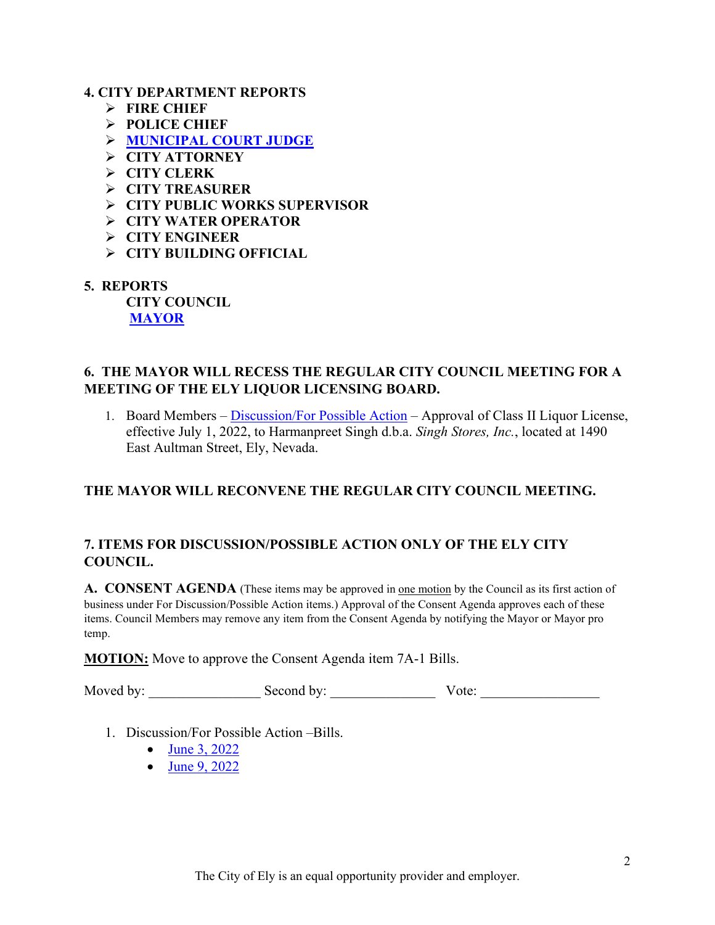#### **4. CITY DEPARTMENT REPORTS**

- **FIRE CHIEF**
- **POLICE CHIEF**
- **[MUNICIPAL COURT JUDGE](https://www.cityofelynv.gov/pdf/CityCouncil2022/cc6-23-22/Maymunireport.pdf)**
- **CITY ATTORNEY**
- **CITY CLERK**
- **CITY TREASURER**
- **CITY PUBLIC WORKS SUPERVISOR**
- **CITY WATER OPERATOR**
- **CITY ENGINEER**
- **CITY BUILDING OFFICIAL**
- **5. REPORTS**

**CITY COUNCIL [MAYOR](https://www.cityofelynv.gov/pdf/CityCouncil2022/cc6-23-22/Mayorsreportjune22.pdf)**

#### **6. THE MAYOR WILL RECESS THE REGULAR CITY COUNCIL MEETING FOR A MEETING OF THE ELY LIQUOR LICENSING BOARD.**

1. Board Members – [Discussion/For Possible Action](https://www.cityofelynv.gov/pdf/CityCouncil2022/cc6-23-22/singhliquorlicense.pdf) – Approval of Class II Liquor License, effective July 1, 2022, to Harmanpreet Singh d.b.a. *Singh Stores, Inc.*, located at 1490 East Aultman Street, Ely, Nevada.

#### **THE MAYOR WILL RECONVENE THE REGULAR CITY COUNCIL MEETING.**

### **7. ITEMS FOR DISCUSSION/POSSIBLE ACTION ONLY OF THE ELY CITY COUNCIL.**

**A. CONSENT AGENDA** (These items may be approved in one motion by the Council as its first action of business under For Discussion/Possible Action items.) Approval of the Consent Agenda approves each of these items. Council Members may remove any item from the Consent Agenda by notifying the Mayor or Mayor pro temp.

**MOTION:** Move to approve the Consent Agenda item 7A-1 Bills.

Moved by: Second by: Second by:  $\blacksquare$ 

- 1. Discussion/For Possible Action –Bills.
	- [June 3, 2022](https://www.cityofelynv.gov/pdf/CityCouncil2022/cc6-23-22/cc6-3-22bills.pdf)
	- [June 9, 2022](https://www.cityofelynv.gov/pdf/CityCouncil2022/cc6-23-22/cc6-9-22bills.pdf)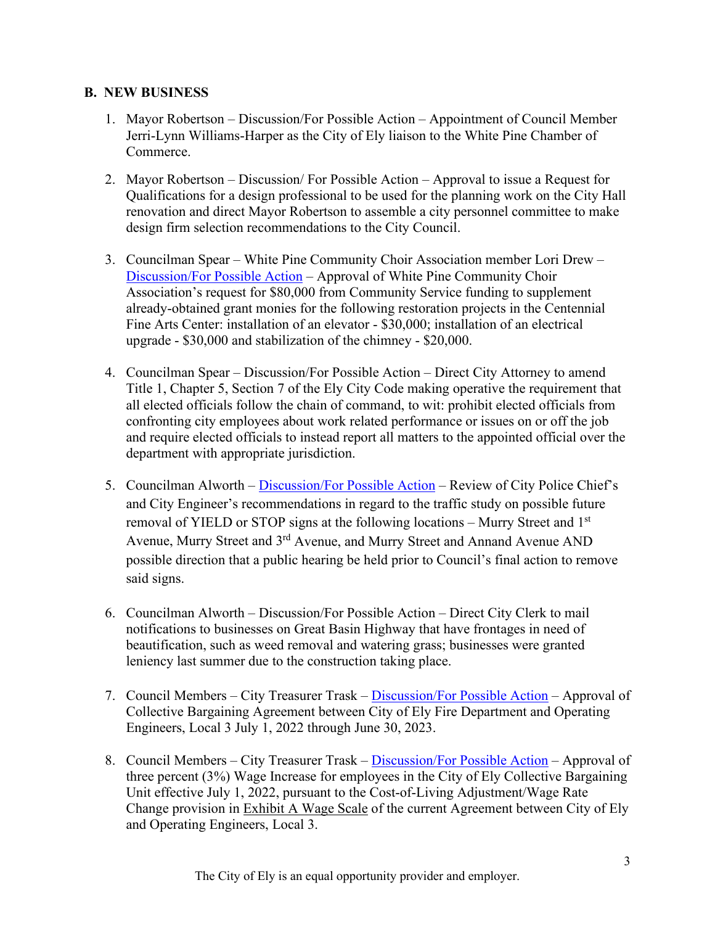#### **B. NEW BUSINESS**

- 1. Mayor Robertson Discussion/For Possible Action Appointment of Council Member Jerri-Lynn Williams-Harper as the City of Ely liaison to the White Pine Chamber of Commerce.
- 2. Mayor Robertson Discussion/ For Possible Action Approval to issue a Request for Qualifications for a design professional to be used for the planning work on the City Hall renovation and direct Mayor Robertson to assemble a city personnel committee to make design firm selection recommendations to the City Council.
- 3. Councilman Spear White Pine Community Choir Association member Lori Drew [Discussion/For Possible Action](https://www.cityofelynv.gov/pdf/CityCouncil2022/cc6-23-22/WPcommunitychoirassociation.pdf) – Approval of White Pine Community Choir Association's request for \$80,000 from Community Service funding to supplement already-obtained grant monies for the following restoration projects in the Centennial Fine Arts Center: installation of an elevator - \$30,000; installation of an electrical upgrade - \$30,000 and stabilization of the chimney - \$20,000.
- 4. Councilman Spear Discussion/For Possible Action Direct City Attorney to amend Title 1, Chapter 5, Section 7 of the Ely City Code making operative the requirement that all elected officials follow the chain of command, to wit: prohibit elected officials from confronting city employees about work related performance or issues on or off the job and require elected officials to instead report all matters to the appointed official over the department with appropriate jurisdiction.
- 5. Councilman Alworth [Discussion/For Possible Action](https://www.cityofelynv.gov/pdf/CityCouncil2022/cc6-23-22/Murrystreettraficcstudy.pdf) Review of City Police Chief's and City Engineer's recommendations in regard to the traffic study on possible future removal of YIELD or STOP signs at the following locations – Murry Street and  $1<sup>st</sup>$ Avenue, Murry Street and 3rd Avenue, and Murry Street and Annand Avenue AND possible direction that a public hearing be held prior to Council's final action to remove said signs.
- 6. Councilman Alworth Discussion/For Possible Action Direct City Clerk to mail notifications to businesses on Great Basin Highway that have frontages in need of beautification, such as weed removal and watering grass; businesses were granted leniency last summer due to the construction taking place.
- 7. Council Members City Treasurer Trask [Discussion/For Possible Action](https://www.cityofelynv.gov/pdf/CityCouncil2022/cc6-23-22/redlinefireunioncontract.pdf) Approval of Collective Bargaining Agreement between City of Ely Fire Department and Operating Engineers, Local 3 July 1, 2022 through June 30, 2023.
- 8. Council Members City Treasurer Trask [Discussion/For Possible Action](https://www.cityofelynv.gov/pdf/CityCouncil2022/cc6-23-22/ExhibitAwagescale.pdf) Approval of three percent (3%) Wage Increase for employees in the City of Ely Collective Bargaining Unit effective July 1, 2022, pursuant to the Cost-of-Living Adjustment/Wage Rate Change provision in Exhibit A Wage Scale of the current Agreement between City of Ely and Operating Engineers, Local 3.